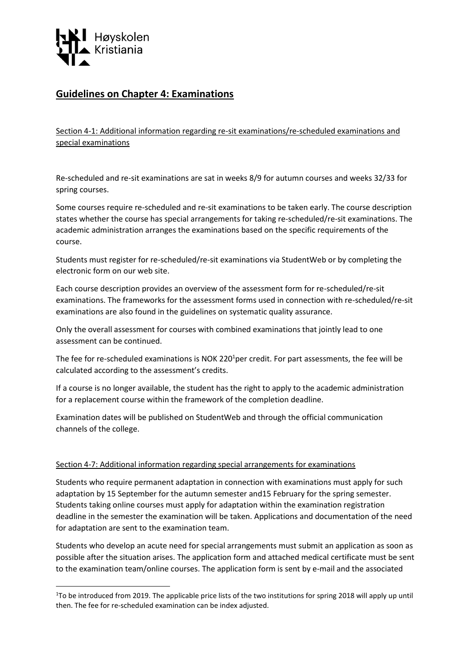

**.** 

# **Guidelines on Chapter 4: Examinations**

Section 4-1: Additional information regarding re-sit examinations/re-scheduled examinations and special examinations

Re-scheduled and re-sit examinations are sat in weeks 8/9 for autumn courses and weeks 32/33 for spring courses.

Some courses require re-scheduled and re-sit examinations to be taken early. The course description states whether the course has special arrangements for taking re-scheduled/re-sit examinations. The academic administration arranges the examinations based on the specific requirements of the course.

Students must register for re-scheduled/re-sit examinations via StudentWeb or by completing the electronic form on our web site.

Each course description provides an overview of the assessment form for re-scheduled/re-sit examinations. The frameworks for the assessment forms used in connection with re-scheduled/re-sit examinations are also found in the guidelines on systematic quality assurance.

Only the overall assessment for courses with combined examinations that jointly lead to one assessment can be continued.

The fee for re-scheduled examinations is NOK 220<sup>1</sup>per credit. For part assessments, the fee will be calculated according to the assessment's credits.

If a course is no longer available, the student has the right to apply to the academic administration for a replacement course within the framework of the completion deadline.

Examination dates will be published on StudentWeb and through the official communication channels of the college.

### Section 4-7: Additional information regarding special arrangements for examinations

Students who require permanent adaptation in connection with examinations must apply for such adaptation by 15 September for the autumn semester and15 February for the spring semester. Students taking online courses must apply for adaptation within the examination registration deadline in the semester the examination will be taken. Applications and documentation of the need for adaptation are sent to the examination team.

Students who develop an acute need for special arrangements must submit an application as soon as possible after the situation arises. The application form and attached medical certificate must be sent to the examination team/online courses. The application form is sent by e-mail and the associated

<sup>&</sup>lt;sup>1</sup>To be introduced from 2019. The applicable price lists of the two institutions for spring 2018 will apply up until then. The fee for re-scheduled examination can be index adjusted.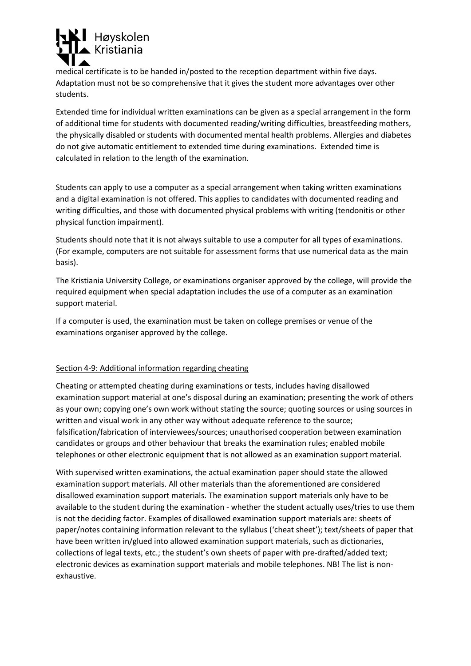

medical certificate is to be handed in/posted to the reception department within five days. Adaptation must not be so comprehensive that it gives the student more advantages over other students.

Extended time for individual written examinations can be given as a special arrangement in the form of additional time for students with documented reading/writing difficulties, breastfeeding mothers, the physically disabled or students with documented mental health problems. Allergies and diabetes do not give automatic entitlement to extended time during examinations. Extended time is calculated in relation to the length of the examination.

Students can apply to use a computer as a special arrangement when taking written examinations and a digital examination is not offered. This applies to candidates with documented reading and writing difficulties, and those with documented physical problems with writing (tendonitis or other physical function impairment).

Students should note that it is not always suitable to use a computer for all types of examinations. (For example, computers are not suitable for assessment forms that use numerical data as the main basis).

The Kristiania University College, or examinations organiser approved by the college, will provide the required equipment when special adaptation includes the use of a computer as an examination support material.

If a computer is used, the examination must be taken on college premises or venue of the examinations organiser approved by the college.

### Section 4-9: Additional information regarding cheating

Cheating or attempted cheating during examinations or tests, includes having disallowed examination support material at one's disposal during an examination; presenting the work of others as your own; copying one's own work without stating the source; quoting sources or using sources in written and visual work in any other way without adequate reference to the source; falsification/fabrication of interviewees/sources; unauthorised cooperation between examination candidates or groups and other behaviour that breaks the examination rules; enabled mobile telephones or other electronic equipment that is not allowed as an examination support material.

With supervised written examinations, the actual examination paper should state the allowed examination support materials. All other materials than the aforementioned are considered disallowed examination support materials. The examination support materials only have to be available to the student during the examination - whether the student actually uses/tries to use them is not the deciding factor. Examples of disallowed examination support materials are: sheets of paper/notes containing information relevant to the syllabus ('cheat sheet'); text/sheets of paper that have been written in/glued into allowed examination support materials, such as dictionaries, collections of legal texts, etc.; the student's own sheets of paper with pre-drafted/added text; electronic devices as examination support materials and mobile telephones. NB! The list is nonexhaustive.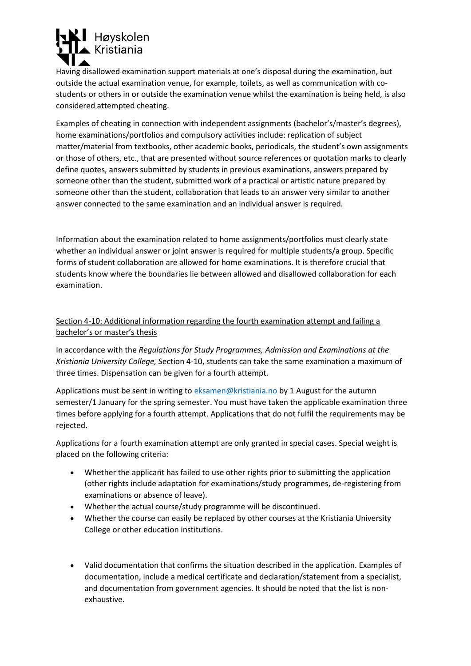

Having disallowed examination support materials at one's disposal during the examination, but outside the actual examination venue, for example, toilets, as well as communication with costudents or others in or outside the examination venue whilst the examination is being held, is also considered attempted cheating.

Examples of cheating in connection with independent assignments (bachelor's/master's degrees), home examinations/portfolios and compulsory activities include: replication of subject matter/material from textbooks, other academic books, periodicals, the student's own assignments or those of others, etc., that are presented without source references or quotation marks to clearly define quotes, answers submitted by students in previous examinations, answers prepared by someone other than the student, submitted work of a practical or artistic nature prepared by someone other than the student, collaboration that leads to an answer very similar to another answer connected to the same examination and an individual answer is required.

Information about the examination related to home assignments/portfolios must clearly state whether an individual answer or joint answer is required for multiple students/a group. Specific forms of student collaboration are allowed for home examinations. It is therefore crucial that students know where the boundaries lie between allowed and disallowed collaboration for each examination.

## Section 4-10: Additional information regarding the fourth examination attempt and failing a bachelor's or master's thesis

In accordance with the *Regulations for Study Programmes, Admission and Examinations at the Kristiania University College,* Section 4-10, students can take the same examination a maximum of three times. Dispensation can be given for a fourth attempt.

Applications must be sent in writing to [eksamen@kristiania.no](mailto:eksamen@kristiania.no) by 1 August for the autumn semester/1 January for the spring semester. You must have taken the applicable examination three times before applying for a fourth attempt. Applications that do not fulfil the requirements may be rejected.

Applications for a fourth examination attempt are only granted in special cases. Special weight is placed on the following criteria:

- Whether the applicant has failed to use other rights prior to submitting the application (other rights include adaptation for examinations/study programmes, de-registering from examinations or absence of leave).
- Whether the actual course/study programme will be discontinued.
- Whether the course can easily be replaced by other courses at the Kristiania University College or other education institutions.
- Valid documentation that confirms the situation described in the application. Examples of documentation, include a medical certificate and declaration/statement from a specialist, and documentation from government agencies. It should be noted that the list is nonexhaustive.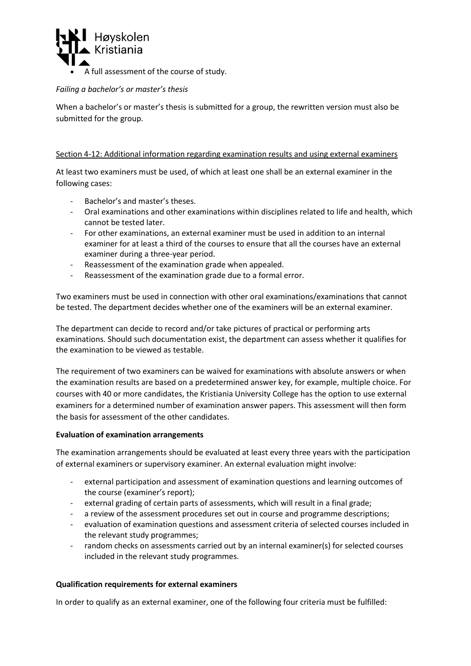

## *Failing a bachelor's or master's thesis*

When a bachelor's or master's thesis is submitted for a group, the rewritten version must also be submitted for the group.

## Section 4-12: Additional information regarding examination results and using external examiners

At least two examiners must be used, of which at least one shall be an external examiner in the following cases:

- Bachelor's and master's theses.
- Oral examinations and other examinations within disciplines related to life and health, which cannot be tested later.
- For other examinations, an external examiner must be used in addition to an internal examiner for at least a third of the courses to ensure that all the courses have an external examiner during a three-year period.
- Reassessment of the examination grade when appealed.
- Reassessment of the examination grade due to a formal error.

Two examiners must be used in connection with other oral examinations/examinations that cannot be tested. The department decides whether one of the examiners will be an external examiner.

The department can decide to record and/or take pictures of practical or performing arts examinations. Should such documentation exist, the department can assess whether it qualifies for the examination to be viewed as testable.

The requirement of two examiners can be waived for examinations with absolute answers or when the examination results are based on a predetermined answer key, for example, multiple choice. For courses with 40 or more candidates, the Kristiania University College has the option to use external examiners for a determined number of examination answer papers. This assessment will then form the basis for assessment of the other candidates.

### **Evaluation of examination arrangements**

The examination arrangements should be evaluated at least every three years with the participation of external examiners or supervisory examiner. An external evaluation might involve:

- external participation and assessment of examination questions and learning outcomes of the course (examiner's report);
- external grading of certain parts of assessments, which will result in a final grade;
- a review of the assessment procedures set out in course and programme descriptions;
- evaluation of examination questions and assessment criteria of selected courses included in the relevant study programmes;
- random checks on assessments carried out by an internal examiner(s) for selected courses included in the relevant study programmes.

### **Qualification requirements for external examiners**

In order to qualify as an external examiner, one of the following four criteria must be fulfilled: